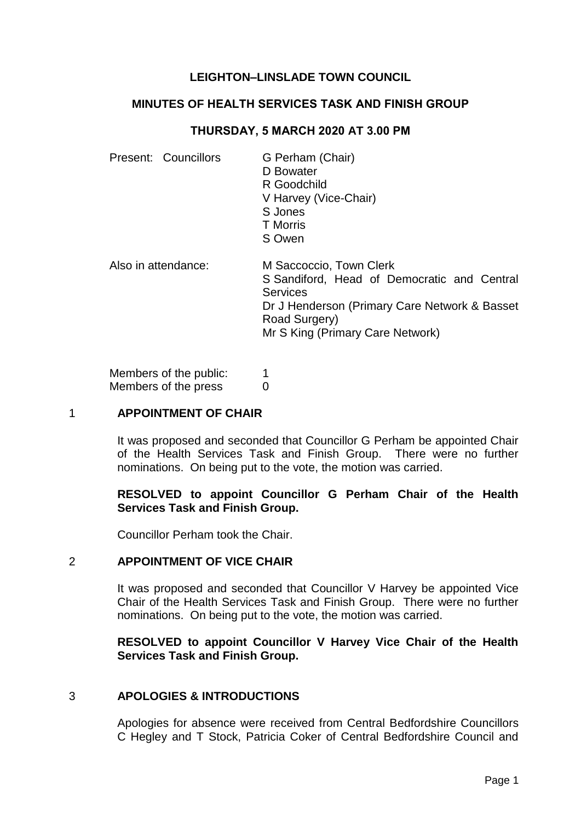# **LEIGHTON–LINSLADE TOWN COUNCIL**

#### **MINUTES OF HEALTH SERVICES TASK AND FINISH GROUP**

### **THURSDAY, 5 MARCH 2020 AT 3.00 PM**

| Present: Councillors | G Perham (Chair)<br>D Bowater<br>R Goodchild<br>V Harvey (Vice-Chair)<br>S Jones<br><b>T</b> Morris<br>S Owen                                                                                   |
|----------------------|-------------------------------------------------------------------------------------------------------------------------------------------------------------------------------------------------|
| Also in attendance:  | M Saccoccio, Town Clerk<br>S Sandiford, Head of Democratic and Central<br><b>Services</b><br>Dr J Henderson (Primary Care Network & Basset<br>Road Surgery)<br>Mr S King (Primary Care Network) |

Members of the public: 1 Members of the press 0

## 1 **APPOINTMENT OF CHAIR**

It was proposed and seconded that Councillor G Perham be appointed Chair of the Health Services Task and Finish Group. There were no further nominations. On being put to the vote, the motion was carried.

#### **RESOLVED to appoint Councillor G Perham Chair of the Health Services Task and Finish Group.**

Councillor Perham took the Chair.

## 2 **APPOINTMENT OF VICE CHAIR**

It was proposed and seconded that Councillor V Harvey be appointed Vice Chair of the Health Services Task and Finish Group. There were no further nominations. On being put to the vote, the motion was carried.

## **RESOLVED to appoint Councillor V Harvey Vice Chair of the Health Services Task and Finish Group.**

#### 3 **APOLOGIES & INTRODUCTIONS**

Apologies for absence were received from Central Bedfordshire Councillors C Hegley and T Stock, Patricia Coker of Central Bedfordshire Council and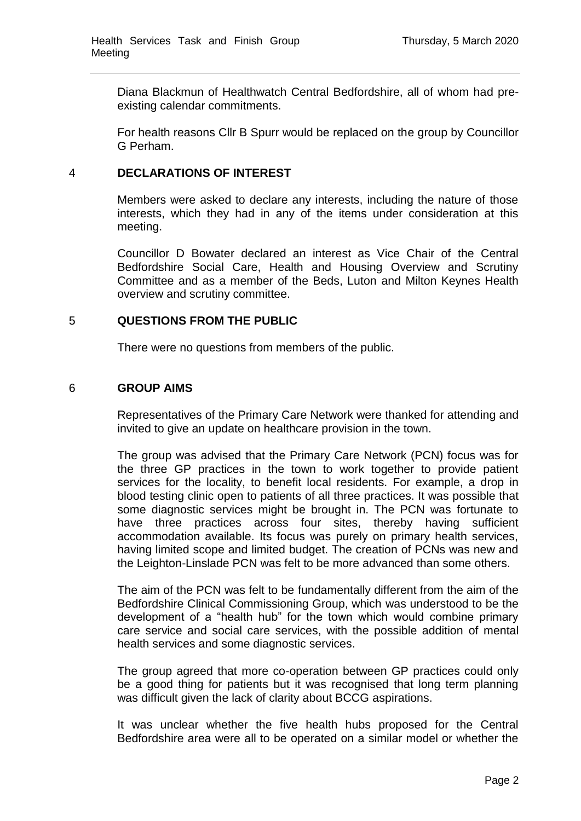Diana Blackmun of Healthwatch Central Bedfordshire, all of whom had preexisting calendar commitments.

For health reasons Cllr B Spurr would be replaced on the group by Councillor G Perham.

## 4 **DECLARATIONS OF INTEREST**

Members were asked to declare any interests, including the nature of those interests, which they had in any of the items under consideration at this meeting.

Councillor D Bowater declared an interest as Vice Chair of the Central Bedfordshire Social Care, Health and Housing Overview and Scrutiny Committee and as a member of the Beds, Luton and Milton Keynes Health overview and scrutiny committee.

## 5 **QUESTIONS FROM THE PUBLIC**

There were no questions from members of the public.

#### 6 **GROUP AIMS**

Representatives of the Primary Care Network were thanked for attending and invited to give an update on healthcare provision in the town.

The group was advised that the Primary Care Network (PCN) focus was for the three GP practices in the town to work together to provide patient services for the locality, to benefit local residents. For example, a drop in blood testing clinic open to patients of all three practices. It was possible that some diagnostic services might be brought in. The PCN was fortunate to have three practices across four sites, thereby having sufficient accommodation available. Its focus was purely on primary health services, having limited scope and limited budget. The creation of PCNs was new and the Leighton-Linslade PCN was felt to be more advanced than some others.

The aim of the PCN was felt to be fundamentally different from the aim of the Bedfordshire Clinical Commissioning Group, which was understood to be the development of a "health hub" for the town which would combine primary care service and social care services, with the possible addition of mental health services and some diagnostic services.

The group agreed that more co-operation between GP practices could only be a good thing for patients but it was recognised that long term planning was difficult given the lack of clarity about BCCG aspirations.

It was unclear whether the five health hubs proposed for the Central Bedfordshire area were all to be operated on a similar model or whether the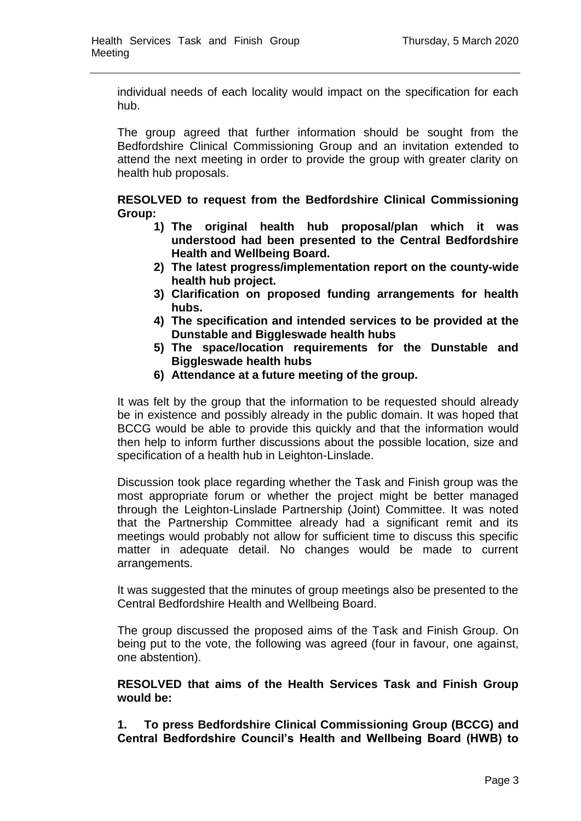individual needs of each locality would impact on the specification for each hub.

The group agreed that further information should be sought from the Bedfordshire Clinical Commissioning Group and an invitation extended to attend the next meeting in order to provide the group with greater clarity on health hub proposals.

**RESOLVED to request from the Bedfordshire Clinical Commissioning Group:** 

- **1) The original health hub proposal/plan which it was understood had been presented to the Central Bedfordshire Health and Wellbeing Board.**
- **2) The latest progress/implementation report on the county-wide health hub project.**
- **3) Clarification on proposed funding arrangements for health hubs.**
- **4) The specification and intended services to be provided at the Dunstable and Biggleswade health hubs**
- **5) The space/location requirements for the Dunstable and Biggleswade health hubs**
- **6) Attendance at a future meeting of the group.**

It was felt by the group that the information to be requested should already be in existence and possibly already in the public domain. It was hoped that BCCG would be able to provide this quickly and that the information would then help to inform further discussions about the possible location, size and specification of a health hub in Leighton-Linslade.

Discussion took place regarding whether the Task and Finish group was the most appropriate forum or whether the project might be better managed through the Leighton-Linslade Partnership (Joint) Committee. It was noted that the Partnership Committee already had a significant remit and its meetings would probably not allow for sufficient time to discuss this specific matter in adequate detail. No changes would be made to current arrangements.

It was suggested that the minutes of group meetings also be presented to the Central Bedfordshire Health and Wellbeing Board.

The group discussed the proposed aims of the Task and Finish Group. On being put to the vote, the following was agreed (four in favour, one against, one abstention).

**RESOLVED that aims of the Health Services Task and Finish Group would be:**

**1. To press Bedfordshire Clinical Commissioning Group (BCCG) and Central Bedfordshire Council's Health and Wellbeing Board (HWB) to**